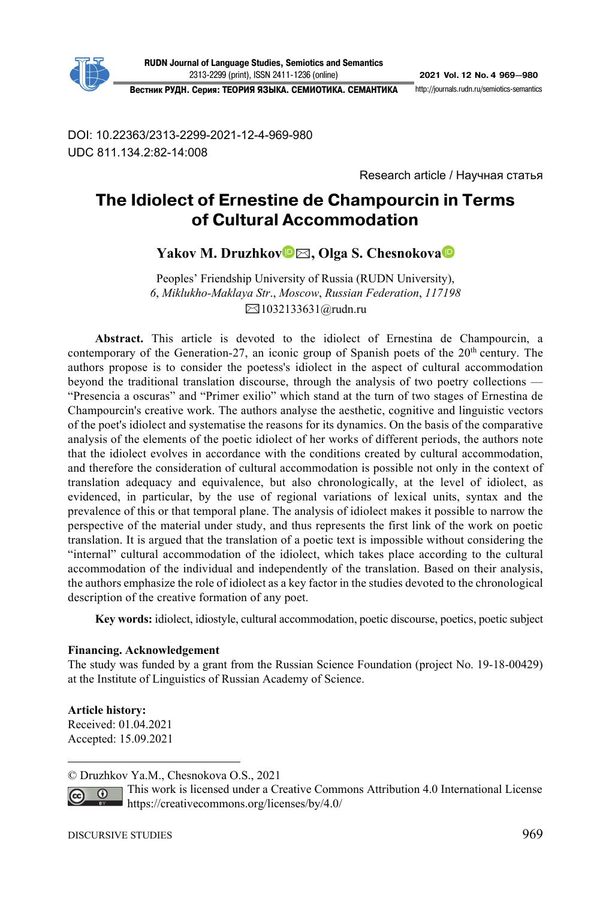

**RUDN Journal of Language Studies, Semiotics and Semantics**  23132299 (print), ISSN 24111236 (online) **2021 Vol. 12 No. 4 969—980**

**Вестник РУДН. Серия: ТЕОРИЯ ЯЗЫКА. СЕМИОТИКА. СЕМАНТИКА** http://journals.rudn.ru/semioticssemantics

DOI: 10.22363/2313-2299-2021-12-4-969-980 UDC 811.134.2:82-14:008

Research article / Научная статья

# **The Idiolect of Ernestine de Champourcin in Terms of Cultural Accommodation<sup>1</sup>**

**Yakov M. Druzhko[v](https://orcid.org/0000-0001-6120-9850)** ✉**, Olga S. Chesnokova**

Рeoples' Friendship University of Russia (RUDN University), *6*, *Miklukho-Maklaya Str*., *Moscow*, *Russian Federation*, *117198*  ✉1032133631@rudn.ru

**Abstract.** This article is devoted to the idiolect of Ernestina de Champourcin, a contemporary of the Generation-27, an iconic group of Spanish poets of the  $20<sup>th</sup>$  century. The authors propose is to consider the poetess's idiolect in the aspect of cultural accommodation beyond the traditional translation discourse, through the analysis of two poetry collections — "Presencia a oscuras" and "Primer exilio" which stand at the turn of two stages of Ernestina de Champourcin's creative work. The authors analyse the aesthetic, cognitive and linguistic vectors of the poet's idiolect and systematise the reasons for its dynamics. On the basis of the comparative analysis of the elements of the poetic idiolect of her works of different periods, the authors note that the idiolect evolves in accordance with the conditions created by cultural accommodation, and therefore the consideration of cultural accommodation is possible not only in the context of translation adequacy and equivalence, but also chronologically, at the level of idiolect, as evidenced, in particular, by the use of regional variations of lexical units, syntax and the prevalence of this or that temporal plane. The analysis of idiolect makes it possible to narrow the perspective of the material under study, and thus represents the first link of the work on poetic translation. It is argued that the translation of a poetic text is impossible without considering the "internal" cultural accommodation of the idiolect, which takes place according to the cultural accommodation of the individual and independently of the translation. Based on their analysis, the authors emphasize the role of idiolect as a key factor in the studies devoted to the chronological description of the creative formation of any poet.

**Key words:** idiolect, idiostyle, cultural accommodation, poetic discourse, poetics, poetic subject

#### **Financing. Acknowledgement**

The study was funded by a grant from the Russian Science Foundation (project No. 19-18-00429) at the Institute of Linguistics of Russian Academy of Science.

**Article history:**  Received: 01.04.2021 Accepted: 15.09.2021

<sup>©</sup> Druzhkov Ya.M., Chesnokova O.S., 2021

This work is licensed under a Creative Commons Attribution 4.0 International License  $\odot$ https://creativecommons.org/licenses/by/4.0/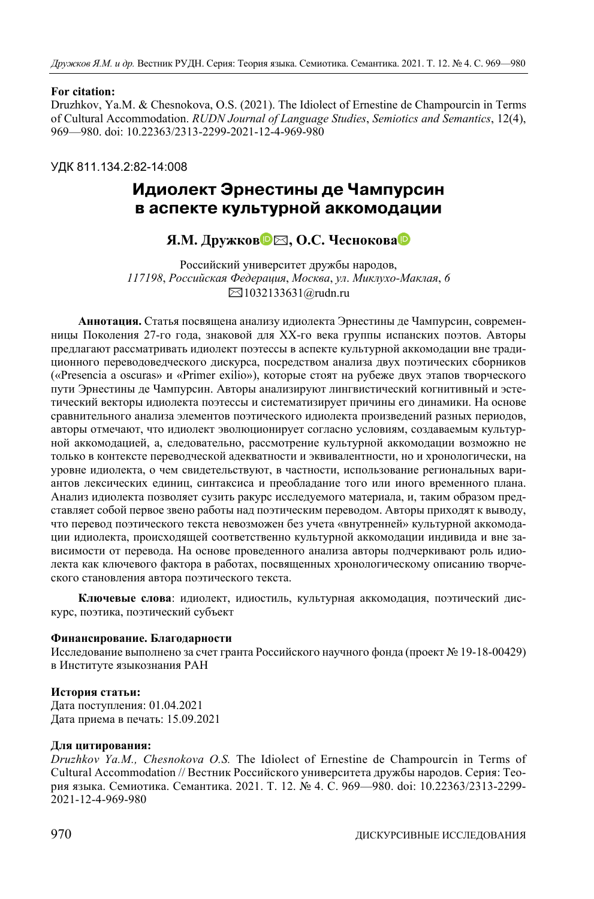#### **For citation:**

Druzhkov, Ya.M. & Chesnokova, O.S. (2021). The Idiolect of Ernestine de Champourcin in Terms of Cultural Accommodation. *RUDN Journal of Language Studies*, *Semiotics and Semantics*, 12(4), 969—980. doi: 10.22363/2313-2299-2021-12-4-969-980

УДК 811.134.2:82-14:008

# **Идиолект Эрнестины де Чампурсин в аспекте культурной аккомодации**

**Я.М. Дружков** [✉](https://orcid.org/0000-0001-6120-9850)**, О.С. Чесноков[а](https://orcid.org/0000-0001-7025-4098)**

Российский университет дружбы народов, *117198*, *Российская Федерация*, *Москва*, *ул*. *Миклухо-Маклая*, *6*  ✉1032133631@rudn.ru

**Аннотация.** Статья посвящена анализу идиолекта Эрнестины де Чампурсин, современницы Поколения 27-го года, знаковой для XX-го века группы испанских поэтов. Авторы предлагают рассматривать идиолект поэтессы в аспекте культурной аккомодации вне традиционного переводоведческого дискурса, посредством анализа двух поэтических сборников («Presencia a oscuras» и «Primer exilio»), которые стоят на рубеже двух этапов творческого пути Эрнестины де Чампурсин. Авторы анализируют лингвистический когнитивный и эстетический векторы идиолекта поэтессы и систематизирует причины его динамики. На основе сравнительного анализа элементов поэтического идиолекта произведений разных периодов, авторы отмечают, что идиолект эволюционирует согласно условиям, создаваемым культурной аккомодацией, а, следовательно, рассмотрение культурной аккомодации возможно не только в контексте переводческой адекватности и эквивалентности, но и хронологически, на уровне идиолекта, о чем свидетельствуют, в частности, использование региональных вариантов лексических единиц, синтаксиса и преобладание того или иного временного плана. Анализ идиолекта позволяет сузить ракурс исследуемого материала, и, таким образом представляет собой первое звено работы над поэтическим переводом. Авторы приходят к выводу, что перевод поэтического текста невозможен без учета «внутренней» культурной аккомодации идиолекта, происходящей соответственно культурной аккомодации индивида и вне зависимости от перевода. На основе проведенного анализа авторы подчеркивают роль идиолекта как ключевого фактора в работах, посвященных хронологическому описанию творческого становления автора поэтического текста.

**Ключевые слова**: идиолект, идиостиль, культурная аккомодация, поэтический дискурс, поэтика, поэтический субъект

#### **Финансирование. Благодарности**

Исследование выполнено за счет гранта Российского научного фонда (проект № 19-18-00429) в Институте языкознания РАН

#### **История статьи:**

Дата поступления: 01.04.2021 Дата приема в печать: 15.09.2021

#### **Для цитирования:**

*Druzhkov Ya.M., Chesnokova O.S.* The Idiolect of Ernestine de Champourcin in Terms of Cultural Accommodation // Вестник Российского университета дружбы народов. Серия: Теория языка. Семиотика. Семантика. 2021. Т. 12. № 4. С. 969—980. doi: 10.22363/2313-2299- 2021-12-4-969-980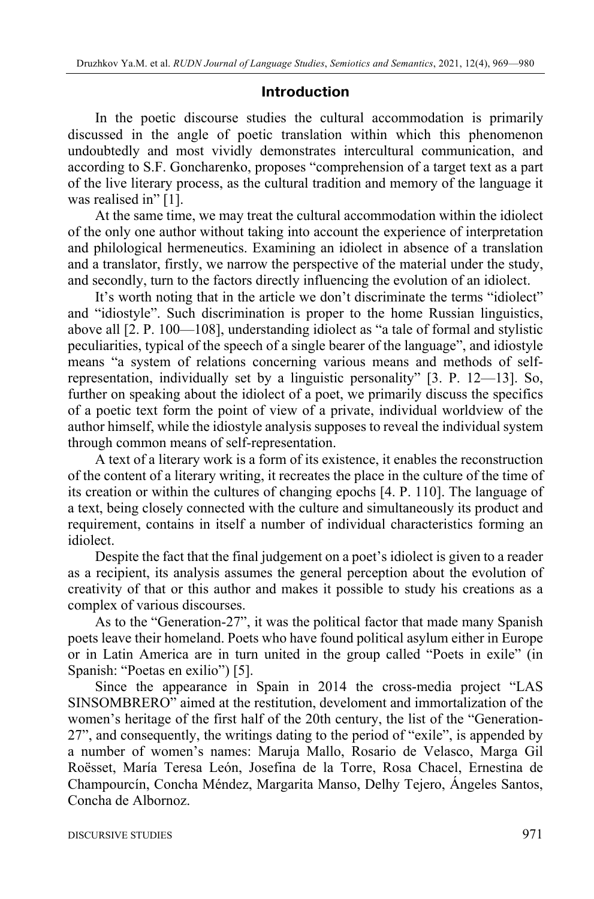## **Introduction**

In the poetic discourse studies the cultural accommodation is primarily discussed in the angle of poetic translation within which this phenomenon undoubtedly and most vividly demonstrates intercultural communication, and according to S.F. Goncharenko, proposes "comprehension of a target text as a part of the live literary process, as the cultural tradition and memory of the language it was realised in" [1].

At the same time, we may treat the cultural accommodation within the idiolect of the only one author without taking into account the experience of interpretation and philological hermeneutics. Examining an idiolect in absence of a translation and a translator, firstly, we narrow the perspective of the material under the study, and secondly, turn to the factors directly influencing the evolution of an idiolect.

It's worth noting that in the article we don't discriminate the terms "idiolect" and "idiostyle". Such discrimination is proper to the home Russian linguistics, above all [2. Р. 100—108], understanding idiolect as "a tale of formal and stylistic peculiarities, typical of the speech of a single bearer of the language", and idiostyle means "a system of relations concerning various means and methods of selfrepresentation, individually set by a linguistic personality" [3. Р. 12—13]. So, further on speaking about the idiolect of a poet, we primarily discuss the specifics of a poetic text form the point of view of a private, individual worldview of the author himself, while the idiostyle analysis supposes to reveal the individual system through common means of self-representation.

A text of a literary work is a form of its existence, it enables the reconstruction of the content of a literary writing, it recreates the place in the culture of the time of its creation or within the cultures of changing epochs [4. P. 110]. The language of a text, being closely connected with the culture and simultaneously its product and requirement, contains in itself a number of individual characteristics forming an idiolect.

Despite the fact that the final judgement on a poet's idiolect is given to a reader as a recipient, its analysis assumes the general perception about the evolution of creativity of that or this author and makes it possible to study his creations as a complex of various discourses.

As to the "Generation-27", it was the political factor that made many Spanish poets leave their homeland. Poets who have found political asylum either in Europe or in Latin America are in turn united in the group called "Poets in exile" (in Spanish: "Poetas en exilio") [5].

Since the appearance in Spain in 2014 the cross-media project "LAS SINSOMBRERO" aimed at the restitution, develoment and immortalization of the women's heritage of the first half of the 20th century, the list of the "Generation-27", and consequently, the writings dating to the period of "exile", is appended by a number of women's names: Maruja Mallo, Rosario de Velasco, Marga Gil Roësset, María Teresa León, Josefina de la Torre, Rosa Chacel, Ernestina de Champourcín, Concha Méndez, Margarita Manso, Delhy Tejero, Ángeles Santos, Concha de Albornoz.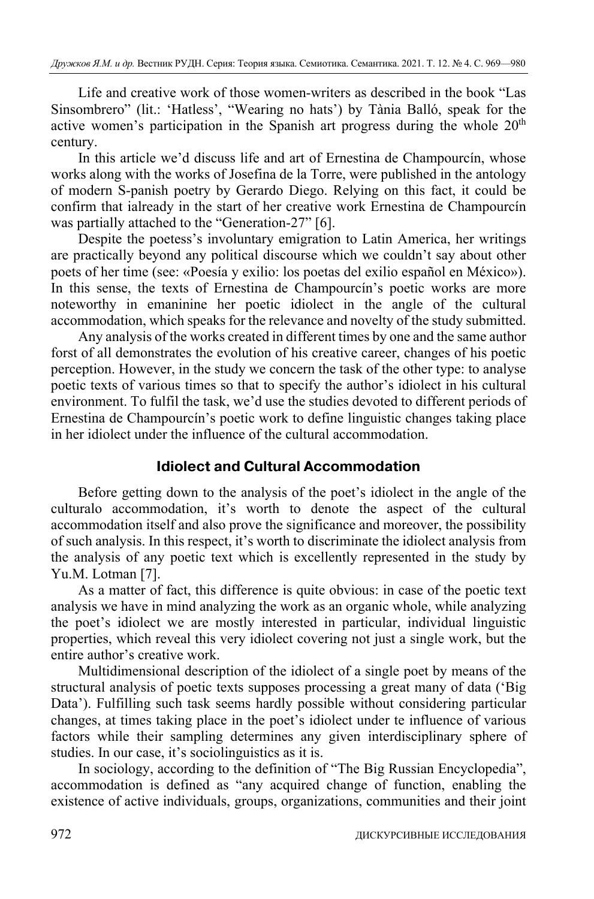Life and creative work of those women-writers as described in the book "Las Sinsombrero" (lit.: 'Hatless', "Wearing no hats') by Tània Balló, speak for the active women's participation in the Spanish art progress during the whole 20<sup>th</sup> century.

In this article we'd discuss life and art of Ernestina de Champourcín, whose works along with the works of Josefina de la Torre, were published in the antology of modern S-panish poetry by Gerardo Diego. Relying on this fact, it could be confirm that ialready in the start of her creative work Ernestina de Champourcín was partially attached to the "Generation-27" [6].

Despite the poetess's involuntary emigration to Latin America, her writings are practically beyond any political discourse which we couldn't say about other poets of her time (see: «Poesía y exilio: los poetas del exilio español en México»). In this sense, the texts of Ernestina de Champourcín's poetic works are more noteworthy in emaninine her poetic idiolect in the angle of the cultural accommodation, which speaks for the relevance and novelty of the study submitted.

Any analysis of the works created in different times by one and the same author forst of all demonstrates the evolution of his creative career, changes of his poetic perception. However, in the study we concern the task of the other type: to analyse poetic texts of various times so that to specify the author's idiolect in his cultural environment. To fulfil the task, we'd use the studies devoted to different periods of Ernestina de Champourcín's poetic work to define linguistic changes taking place in her idiolect under the influence of the cultural accommodation.

### **Idiolect and Cultural Accommodation**

Before getting down to the analysis of the poet's idiolect in the angle of the culturalo accommodation, it's worth to denote the aspect of the cultural accommodation itself and also prove the significance and moreover, the possibility of such analysis. In this respect, it's worth to discriminate the idiolect analysis from the analysis of any poetic text which is excellently represented in the study by Yu.M. Lotman [7].

As a matter of fact, this difference is quite obvious: in case of the poetic text analysis we have in mind analyzing the work as an organic whole, while analyzing the poet's idiolect we are mostly interested in particular, individual linguistic properties, which reveal this very idiolect covering not just a single work, but the entire author's creative work.

Multidimensional description of the idiolect of a single poet by means of the structural analysis of poetic texts supposes processing a great many of data ('Big Data'). Fulfilling such task seems hardly possible without considering particular changes, at times taking place in the poet's idiolect under te influence of various factors while their sampling determines any given interdisciplinary sphere of studies. In our case, it's sociolinguistics as it is.

In sociology, according to the definition of "The Big Russian Encyclopedia", accommodation is defined as "any acquired change of function, enabling the existence of active individuals, groups, organizations, communities and their joint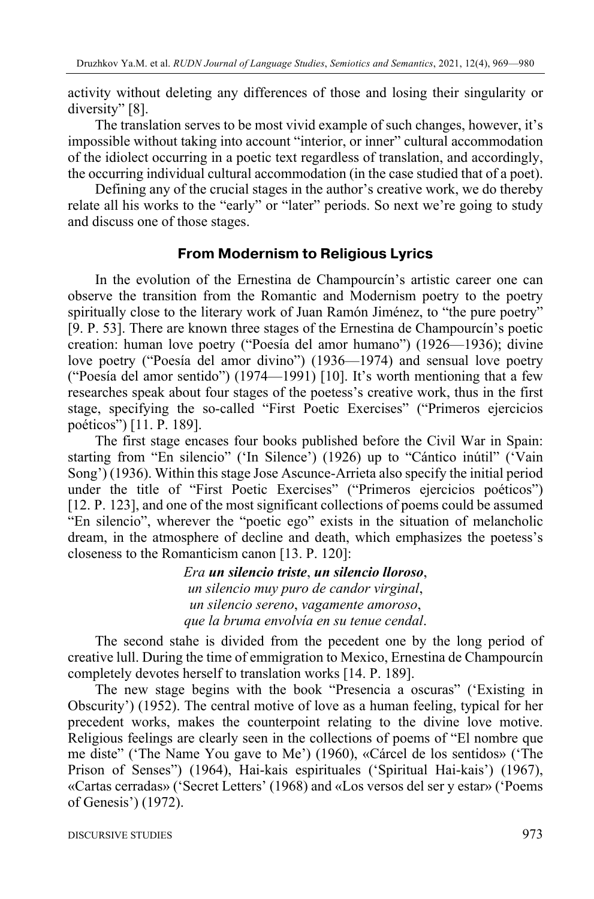activity without deleting any differences of those and losing their singularity or diversity" [8].

The translation serves to be most vivid example of such changes, however, it's impossible without taking into account "interior, or inner" cultural accommodation of the idiolect occurring in a poetic text regardless of translation, and accordingly, the occurring individual cultural accommodation (in the case studied that of a poet).

Defining any of the crucial stages in the author's creative work, we do thereby relate all his works to the "early" or "later" periods. So next we're going to study and discuss one of those stages.

### **From Modernism to Religious Lyrics**

In the evolution of the Ernestina de Champourcín's artistic career one can observe the transition from the Romantic and Modernism poetry to the poetry spiritually close to the literary work of Juan Ramón Jiménez, to "the pure poetry" [9. P. 53]. There are known three stages of the Ernestina de Champourcín's poetic creation: human love poetry ("Poesía del amor humano") (1926—1936); divine love poetry ("Poesía del amor divino") (1936—1974) and sensual love poetry ("Poesía del amor sentido") (1974—1991) [10]. It's worth mentioning that a few researches speak about four stages of the poetess's creative work, thus in the first stage, specifying the so-called "First Poetic Exercises" ("Primeros ejercicios poéticos") [11. P. 189].

The first stage encases four books published before the Civil War in Spain: starting from "En silencio" ('In Silence') (1926) up to "Cántico inútil" ('Vain Song') (1936). Within this stage Jose Ascunce-Arrieta also specify the initial period under the title of "First Poetic Exercises" ("Primeros ejercicios poéticos") [12. P. 123], and one of the most significant collections of poems could be assumed "En silencio", wherever the "poetic ego" exists in the situation of melancholic dream, in the atmosphere of decline and death, which emphasizes the poetess's closeness to the Romanticism canon [13. P. 120]:

> *Era un silencio triste*, *un silencio lloroso*, *un silencio muy puro de candor virginal*, *un silencio sereno*, *vagamente amoroso*, *que la bruma envolvía en su tenue cendal*.

The second stahe is divided from the pecedent one by the long period of creative lull. During the time of emmigration to Mexico, Ernestina de Champourcín completely devotes herself to translation works [14. P. 189].

The new stage begins with the book "Presencia a oscuras" ('Existing in Obscurity') (1952). The central motive of love as a human feeling, typical for her precedent works, makes the counterpoint relating to the divine love motive. Religious feelings are clearly seen in the collections of poems of "El nombre que me diste" ('The Name You gave to Me') (1960), «Cárcel de los sentidos» ('The Prison of Senses") (1964), Hai-kais espirituales ('Spiritual Hai-kais') (1967), «Cartas cerradas» ('Secret Letters' (1968) and «Los versos del ser y estar» ('Poems of Genesis') (1972).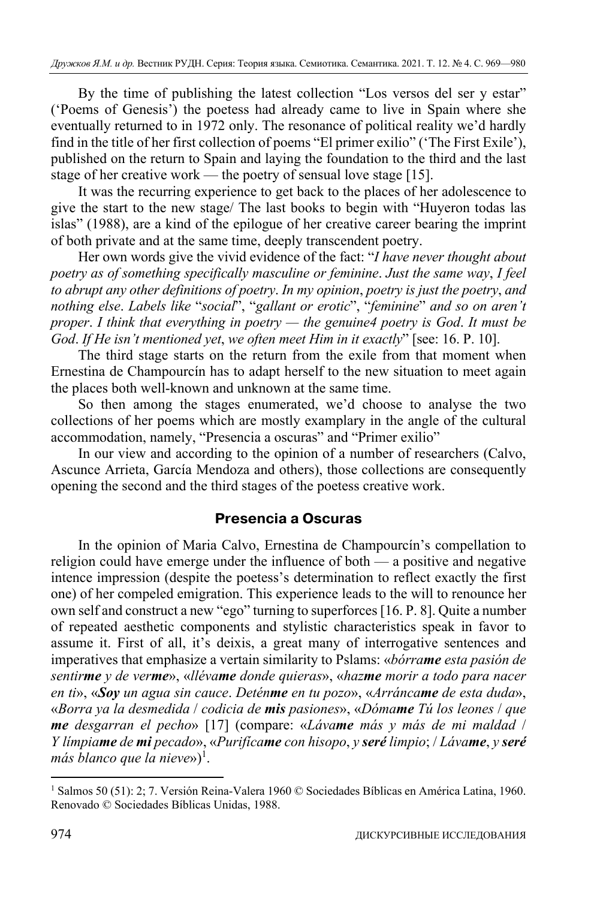By the time of publishing the latest collection "Los versos del ser y estar" ('Poems of Genesis') the poetess had already came to live in Spain where she eventually returned to in 1972 only. The resonance of political reality we'd hardly find in the title of her first collection of poems "El primer exilio" ('The First Exile'), published on the return to Spain and laying the foundation to the third and the last stage of her creative work — the poetry of sensual love stage [15].

It was the recurring experience to get back to the places of her adolescence to give the start to the new stage/ The last books to begin with "Huyeron todas las islas" (1988), are a kind of the epilogue of her creative career bearing the imprint of both private and at the same time, deeply transcendent poetry.

Her own words give the vivid evidence of the fact: "*I have never thought about poetry as of something specifically masculine or feminine*. *Just the same way*, *I feel to abrupt any other definitions of poetry*. *In my opinion*, *poetry is just the poetry*, *and nothing else*. *Labels like* "*social*", "*gallant or erotic*", "*feminine*" *and so on aren't proper*. *I think that everything in poetry — the genuine4 poetry is God*. *It must be God*. *If He isn't mentioned yet*, *we often meet Him in it exactly*" [see: 16. P. 10].

The third stage starts on the return from the exile from that moment when Ernestina de Champourcín has to adapt herself to the new situation to meet again the places both well-known and unknown at the same time.

So then among the stages enumerated, we'd choose to analyse the two collections of her poems which are mostly examplary in the angle of the cultural accommodation, namely, "Presencia a oscuras" and "Primer exilio"

In our view and according to the opinion of a number of researchers (Calvo, Ascunce Arrieta, García Mendoza and others), those collections are consequently opening the second and the third stages of the poetess creative work.

# **Presencia a Oscuras**

In the opinion of Maria Calvo, Ernestina de Champourcín's compellation to religion could have emerge under the influence of both — a positive and negative intence impression (despite the poetess's determination to reflect exactly the first one) of her compeled emigration. This experience leads to the will to renounce her own self and construct a new "ego" turning to superforces [16. P. 8]. Quite a number of repeated aesthetic components and stylistic characteristics speak in favor to assume it. First of all, it's deixis, a great many of interrogative sentences and imperatives that emphasize a vertain similarity to Pslams: «*bórrame esta pasión de sentirme y de verme*», «*llévame donde quieras*», «*hazme morir a todo para nacer en ti*», «*Soy un agua sin cauce*. *Deténme en tu pozo*», «*Arráncame de esta duda*», «*Borra ya la desmedida* / *codicia de mis pasiones*», «*Dómame Tú los leones* / *que me desgarran el pecho*» [17] (compare: «*Lávame más y más de mi maldad* / *Y límpiame de mi pecado*», «*Purifícame con hisopo*, *y seré limpio*; / *Lávame*, *y seré* más blanco que la nieve»)<sup>1</sup>.

<sup>&</sup>lt;sup>1</sup> Salmos 50 (51): 2; 7. Versión Reina-Valera 1960 © Sociedades Bíblicas en América Latina, 1960. Renovado © Sociedades Bíblicas Unidas, 1988.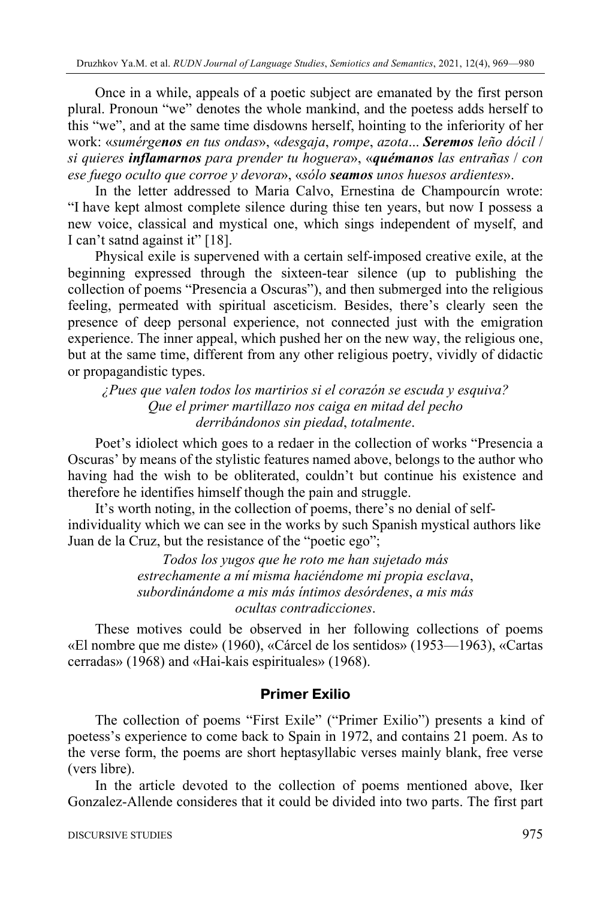Once in a while, appeals of a poetic subject are emanated by the first person plural. Pronoun "we" denotes the whole mankind, and the poetess adds herself to this "we", and at the same time disdowns herself, hointing to the inferiority of her work: «*sumérgenos en tus ondas*», «*desgaja*, *rompe*, *azota*... *Seremos leño dócil* / *si quieres inflamarnos para prender tu hoguera*», «*quémanos las entrañas* / *con ese fuego oculto que corroe y devora*», «*sólo seamos unos huesos ardientes*».

In the letter addressed to Maria Calvo, Ernestina de Champourcín wrote: "I have kept almost complete silence during thise ten years, but now I possess a new voice, classical and mystical one, which sings independent of myself, and I can't satnd against it" [18].

Physical exile is supervened with a certain self-imposed creative exile, at the beginning expressed through the sixteen-tear silence (up to publishing the collection of poems "Presencia a Oscuras"), and then submerged into the religious feeling, permeated with spiritual asceticism. Besides, there's clearly seen the presence of deep personal experience, not connected just with the emigration experience. The inner appeal, which pushed her on the new way, the religious one, but at the same time, different from any other religious poetry, vividly of didactic or propagandistic types.

*¿Pues que valen todos los martirios si el corazón se escuda y esquiva? Que el primer martillazo nos caiga en mitad del pecho derribándonos sin piedad*, *totalmente*.

Poet's idiolect which goes to a redaer in the collection of works "Presencia a Oscuras' by means of the stylistic features named above, belongs to the author who having had the wish to be obliterated, couldn't but continue his existence and therefore he identifies himself though the pain and struggle.

It's worth noting, in the collection of poems, there's no denial of selfindividuality which we can see in the works by such Spanish mystical authors like Juan de la Cruz, but the resistance of the "poetic ego";

> *Todos los yugos que he roto me han sujetado más estrechamente a mí misma haciéndome mi propia esclava*, *subordinándome a mis más íntimos desórdenes*, *a mis más ocultas contradicciones*.

These motives could be observed in her following collections of poems «El nombre que me diste» (1960), «Cárcel de los sentidos» (1953—1963), «Cartas cerradas» (1968) and «Hai-kais espirituales» (1968).

# **Primer Exilio**

The collection of poems "First Exile" ("Primer Exilio") presents a kind of poetess's experience to come back to Spain in 1972, and contains 21 poem. As to the verse form, the poems are short heptasyllabic verses mainly blank, free verse (vers libre).

In the article devoted to the collection of poems mentioned above, Iker Gonzalez-Allende consideres that it could be divided into two parts. The first part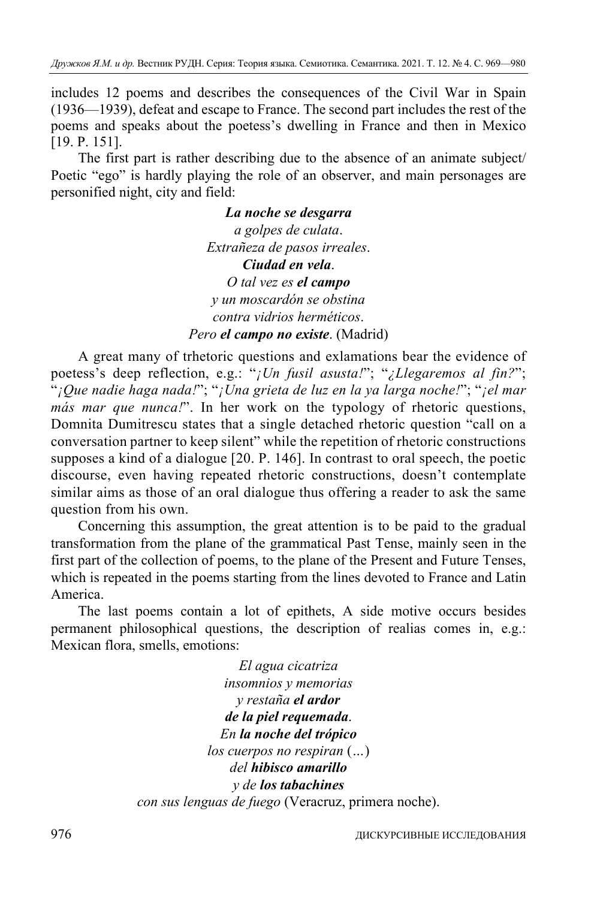includes 12 poems and describes the consequences of the Civil War in Spain (1936—1939), defeat and escape to France. The second part includes the rest of the poems and speaks about the poetess's dwelling in France and then in Mexico [19. P. 151].

The first part is rather describing due to the absence of an animate subject/ Poetic "ego" is hardly playing the role of an observer, and main personages are personified night, city and field:

> *La noche se desgarra a golpes de culata*. *Extrañeza de pasos irreales*. *Ciudad en vela*. *O tal vez es el campo y un moscardón se obstina contra vidrios herméticos*. *Pero el campo no existe*. (Madrid)

A great many of trhetoric questions and exlamations bear the evidence of poetess's deep reflection, e.g.: "*¡Un fusil asusta!*"; "*¿Llegaremos al fin?*"; "*¡Que nadie haga nada!*"; "*¡Una grieta de luz en la ya larga noche!*"; "*¡el mar más mar que nunca!*". In her work on the typology of rhetoric questions, Domnita Dumitrescu states that a single detached rhetoric question "call on a conversation partner to keep silent" while the repetition of rhetoric constructions supposes a kind of a dialogue [20. P. 146]. In contrast to oral speech, the poetic discourse, even having repeated rhetoric constructions, doesn't contemplate similar aims as those of an oral dialogue thus offering a reader to ask the same question from his own.

Concerning this assumption, the great attention is to be paid to the gradual transformation from the plane of the grammatical Past Tense, mainly seen in the first part of the collection of poems, to the plane of the Present and Future Tenses, which is repeated in the poems starting from the lines devoted to France and Latin America.

The last poems contain a lot of epithets, A side motive occurs besides permanent philosophical questions, the description of realias comes in, e.g.: Mexican flora, smells, emotions:

> *El agua cicatriza insomnios y memorias y restaña el ardor de la piel requemada*. *En la noche del trópico los cuerpos no respiran* (*…*) *del hibisco amarillo y de los tabachines con sus lenguas de fuego* (Veracruz, primera noche).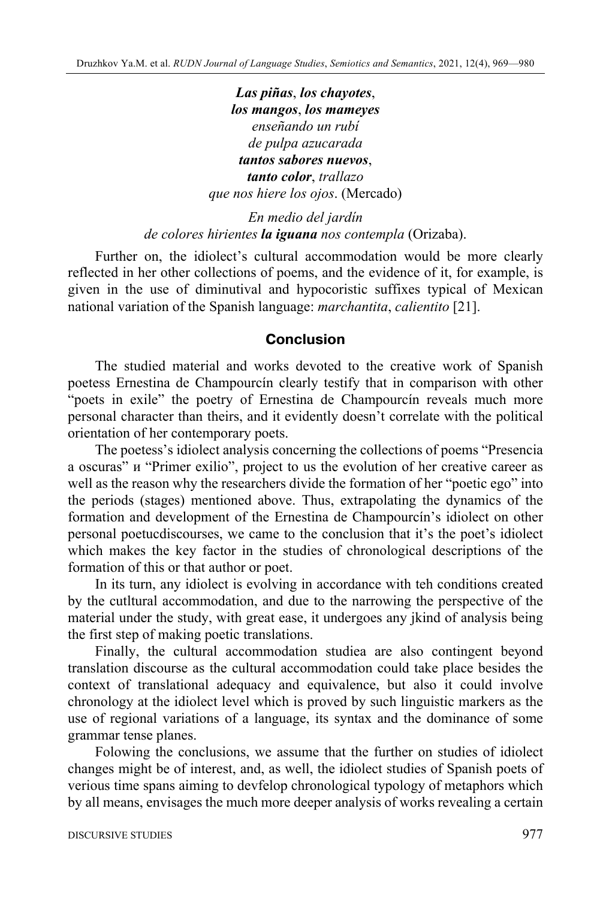*Las piñas*, *los chayotes*, *los mangos*, *los mameyes enseñando un rubí de pulpa azucarada tantos sabores nuevos*, *tanto color*, *trallazo que nos hiere los ojos*. (Mercado)

*En medio del jardín de colores hirientes la iguana nos contempla* (Orizaba).

Further on, the idiolect's cultural accommodation would be more clearly reflected in her other collections of poems, and the evidence of it, for example, is given in the use of diminutival and hypocoristic suffixes typical of Mexican national variation of the Spanish language: *marchantita*, *calientito* [21].

#### **Conclusion**

The studied material and works devoted to the creative work of Spanish poetess Ernestina de Champourcín clearly testify that in comparison with other "poets in exile" the poetry of Ernestina de Champourcín reveals much more personal character than theirs, and it evidently doesn't correlate with the political orientation of her contemporary poets.

The poetess's idiolect analysis concerning the collections of poems "Presencia a oscuras" и "Primer exilio", project to us the evolution of her creative career as well as the reason why the researchers divide the formation of her "poetic ego" into the periods (stages) mentioned above. Thus, extrapolating the dynamics of the formation and development of the Ernestina de Champourcín's idiolect on other personal poetucdiscourses, we came to the conclusion that it's the poet's idiolect which makes the key factor in the studies of chronological descriptions of the formation of this or that author or poet.

In its turn, any idiolect is evolving in accordance with teh conditions created by the cutltural accommodation, and due to the narrowing the perspective of the material under the study, with great ease, it undergoes any jkind of analysis being the first step of making poetic translations.

Finally, the cultural accommodation studiea are also contingent beyond translation discourse as the cultural accommodation could take place besides the context of translational adequacy and equivalence, but also it could involve chronology at the idiolect level which is proved by such linguistic markers as the use of regional variations of a language, its syntax and the dominance of some grammar tense planes.

Folowing the conclusions, we assume that the further on studies of idiolect changes might be of interest, and, as well, the idiolect studies of Spanish poets of verious time spans aiming to devfelop chronological typology of metaphors which by all means, envisages the much more deeper analysis of works revealing a certain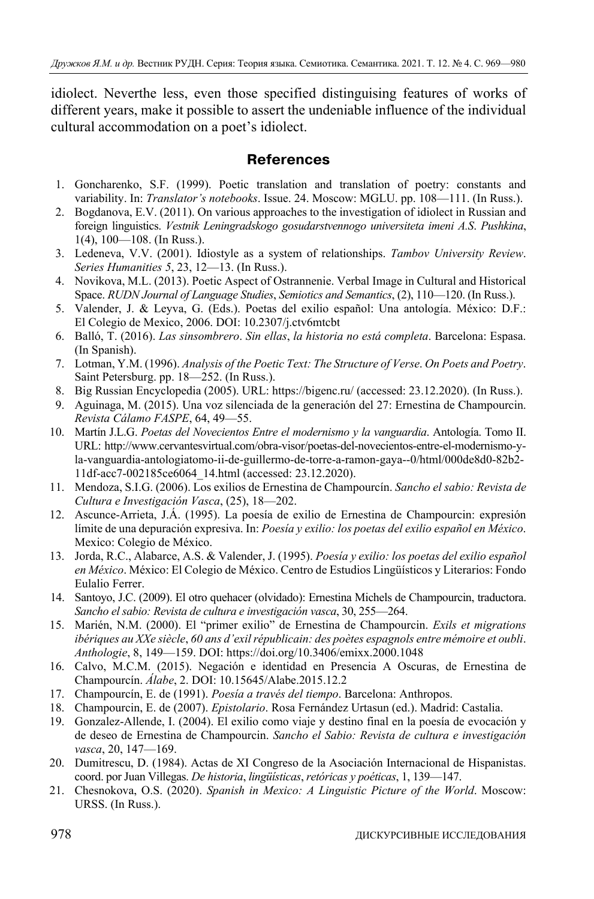idiolect. Neverthe less, even those specified distinguising features of works of different years, make it possible to assert the undeniable influence of the individual cultural accommodation on a poet's idiolect.

## **References**

- 1. Goncharenko, S.F. (1999). Poetic translation and translation of poetry: constants and variability. In: *Translator's notebooks*. Issue. 24. Moscow: MGLU. pp. 108—111. (In Russ.).
- 2. Bogdanova, E.V. (2011). On various approaches to the investigation of idiolect in Russian and foreign linguistics. *Vestnik Leningradskogo gosudarstvennogo universiteta imeni A.S*. *Pushkina*, 1(4), 100—108. (In Russ.).
- 3. Ledeneva, V.V. (2001). Idiostyle as a system of relationships. *Tambov University Review*. *Series Humanities 5*, 23, 12—13. (In Russ.).
- 4. Novikova, M.L. (2013). Poetic Aspect of Ostrannenie. Verbal Image in Cultural and Historical Space. *RUDN Journal of Language Studies*, *Semiotics and Semantics*, (2), 110—120. (In Russ.).
- 5. Valender, J. & Leyva, G. (Eds.). Poetas del exilio español: Una antología. México: D.F.: El Colegio de Mexico, 2006. DOI: 10.2307/j.ctv6mtcbt
- 6. Balló, T. (2016). *Las sinsombrero*. *Sin ellas*, *la historia no está completa*. Barcelona: Espasa. (In Spanish).
- 7. Lotman, Y.M. (1996). *Analysis of the Poetic Text: The Structure of Verse*. *On Poets and Poetry*. Saint Petersburg. pp. 18—252. (In Russ.).
- 8. Big Russian Encyclopedia (2005). URL: https://bigenc.ru/ (accessed: 23.12.2020). (In Russ.).
- 9. Aguinaga, M. (2015). Una voz silenciada de la generación del 27: Ernestina de Champourcin. *Revista Cálamo FASPE*, 64, 49—55.
- 10. Martín J.L.G. *Poetas del Novecientos Entre el modernismo y la vanguardia*. Antología. Tomo II. URL: http://www.cervantesvirtual.com/obra-visor/poetas-del-novecientos-entre-el-modernismo-yla-vanguardia-antologiatomo-ii-de-guillermo-de-torre-a-ramon-gaya--0/html/000de8d0-82b2- 11df-acc7-002185ce6064\_14.html (accessed: 23.12.2020).
- 11. Mendoza, S.I.G. (2006). Los exilios de Ernestina de Champourcín. *Sancho el sabio: Revista de Cultura e Investigación Vasca*, (25), 18—202.
- 12. Ascunce-Arrieta, J.Á. (1995). La poesía de exilio de Ernestina de Champourcin: expresión límite de una depuración expresiva. In: *Poesía y exilio: los poetas del exilio español en México*. Mexico: Colegio de México.
- 13. Jorda, R.C., Alabarce, A.S. & Valender, J. (1995). *Poesía y exilio: los poetas del exilio español en México*. México: El Colegio de México. Centro de Estudios Lingüísticos y Literarios: Fondo Eulalio Ferrer.
- 14. Santoyo, J.C. (2009). El otro quehacer (olvidado): Ernestina Michels de Champourcin, traductora. *Sancho el sabio: Revista de cultura e investigación vasca*, 30, 255—264.
- 15. Marién, N.M. (2000). El "primer exilio" de Ernestina de Champourcin. *Exils et migrations ibériques au XXe siècle*, *60 ans d'exil républicain: des poètes espagnols entre mémoire et oubli*. *Anthologie*, 8, 149—159. DOI: https://doi.org/10.3406/emixx.2000.1048
- 16. Calvo, M.C.M. (2015). Negación e identidad en Presencia A Oscuras, de Ernestina de Champourcín. *Álabe*, 2. DOI: 10.15645/Alabe.2015.12.2
- 17. Champourcín, E. de (1991). *Poesía a través del tiempo*. Barcelona: Anthropos.
- 18. Champourcin, E. de (2007). *Epistolario*. Rosa Fernández Urtasun (ed.). Madrid: Castalia.
- 19. Gonzalez-Allende, I. (2004). El exilio como viaje y destino final en la poesía de evocación y de deseo de Ernestina de Champourcin. *Sancho el Sabio: Revista de cultura e investigación vasca*, 20, 147—169.
- 20. Dumitrescu, D. (1984). Actas de XI Congreso de la Asociación Internacional de Hispanistas. coord. por Juan Villegas. *De historia*, *lingüísticas*, *retóricas y poéticas*, 1, 139—147.
- 21. Chesnokova, O.S. (2020). *Spanish in Mexico: A Linguistic Picture of the World*. Moscow: URSS. (In Russ.).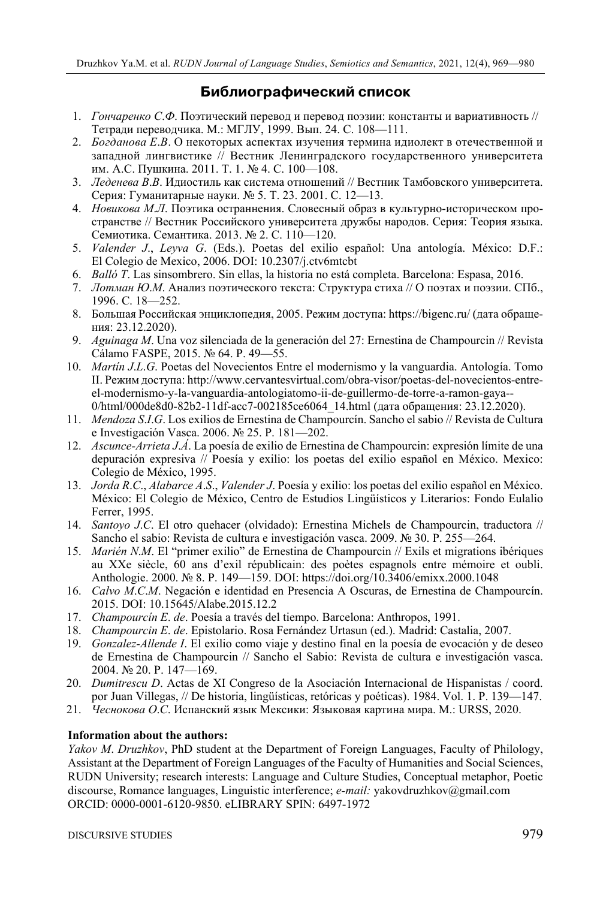# **Библиографический список**

- 1. *Гончаренко С*.*Ф*. Поэтический перевод и перевод поэзии: константы и вариативность // Тетради переводчика. М.: МГЛУ, 1999. Вып. 24. С. 108—111.
- 2. *Богданова Е*.*В*. О некоторых аспектах изучения термина идиолект в отечественной и западной лингвистике // Вестник Ленинградского государственного университета им. А.С. Пушкина. 2011. Т. 1. № 4. С. 100—108.
- 3. *Леденева В*.*В*. Идиостиль как система отношений // Вестник Тамбовского университета. Серия: Гуманитарные науки. № 5. Т. 23. 2001. С. 12—13.
- 4. *Новикова М*.*Л*. Поэтика остраннения. Словесный образ в культурно-историческом пространстве // Вестник Российского университета дружбы народов. Серия: Теория языка. Семиотика. Семантика. 2013. № 2. C. 110—120.
- 5. *Valender J*., *Leyva G*. (Eds.). Poetas del exilio español: Una antología. México: D.F.: El Colegio de Mexico, 2006. DOI: 10.2307/j.ctv6mtcbt
- 6. *Balló T*. Las sinsombrero. Sin ellas, la historia no está completa. Barcelona: Espasa, 2016.
- 7. *Лотман Ю*.*М*. Анализ поэтического текста: Структура стиха // О поэтах и поэзии. СПб., 1996. С. 18—252.
- 8. Большая Российская энциклопедия, 2005. Режим доступа: https://bigenc.ru/ (дата обращения: 23.12.2020).
- 9. *Aguinaga M*. Una voz silenciada de la generación del 27: Ernestina de Champourcin // Revista Cálamo FASPE, 2015. № 64. P. 49—55.
- 10. *Martín J*.*L*.*G*. Poetas del Novecientos Entre el modernismo y la vanguardia. Antología. Tomo II. Режим доступа: http://www.cervantesvirtual.com/obra-visor/poetas-del-novecientos-entreel-modernismo-y-la-vanguardia-antologiatomo-ii-de-guillermo-de-torre-a-ramon-gaya-- 0/html/000de8d0-82b2-11df-acc7-002185ce6064\_14.html (дата обращения: 23.12.2020).
- 11. *Mendoza S*.*I*.*G*. Los exilios de Ernestina de Champourcín. Sancho el sabio // Revista de Cultura e Investigación Vasca. 2006. № 25. P. 181—202.
- 12. *Ascunce-Arrieta J*.*Á*. La poesía de exilio de Ernestina de Champourcin: expresión límite de una depuración expresiva // Poesía y exilio: los poetas del exilio español en México. Mexico: Colegio de México, 1995.
- 13. *Jorda R*.*C*., *Alabarce A*.*S*., *Valender J*. Poesía y exilio: los poetas del exilio español en México. México: El Colegio de México, Centro de Estudios Lingüísticos y Literarios: Fondo Eulalio Ferrer, 1995.
- 14. *Santoyo J*.*C*. El otro quehacer (olvidado): Ernestina Michels de Champourcin, traductora // Sancho el sabio: Revista de cultura e investigación vasca. 2009. № 30. P. 255—264.
- 15. *Marién N*.*M*. El "primer exilio" de Ernestina de Champourcin // Exils et migrations ibériques au XXe siècle, 60 ans d'exil républicain: des poètes espagnols entre mémoire et oubli. Anthologie. 2000. № 8. P. 149—159. DOI: https://doi.org/10.3406/emixx.2000.1048
- 16. *Calvo M*.*C*.*M*. Negación e identidad en Presencia A Oscuras, de Ernestina de Champourcín. 2015. DOI: 10.15645/Alabe.2015.12.2
- 17. *Champourcín E*. *de*. Poesía a través del tiempo. Barcelona: Anthropos, 1991.
- 18. *Champourcin E*. *de*. Epistolario. Rosa Fernández Urtasun (ed.). Madrid: Castalia, 2007.
- 19. *Gonzalez-Allende I*. El exilio como viaje y destino final en la poesía de evocación y de deseo de Ernestina de Champourcin // Sancho el Sabio: Revista de cultura e investigación vasca. 2004. № 20. P. 147—169.
- 20. *Dumitrescu D*. Actas de XI Congreso de la Asociación Internacional de Hispanistas / coord. por Juan Villegas, // De historia, lingüísticas, retóricas y poéticas). 1984. Vol. 1. P. 139—147.
- 21. *Чеснокова О*.*С*. Испанский язык Мексики: Языковая картина мира. M.: URSS, 2020.

### **Information about the authors:**

*Yakov M*. *Druzhkov*, PhD student at the Department of Foreign Languages, Faculty of Philology, Assistant at the Department of Foreign Languages of the Faculty of Humanities and Social Sciences, RUDN University; research interests: Language and Culture Studies, Conceptual metaphor, Poetic discourse, Romance languages, Linguistic interference; *e-mail:* yakovdruzhkov@gmail.com ORCID: 0000-0001-6120-9850. eLIBRARY SPIN: 6497-1972